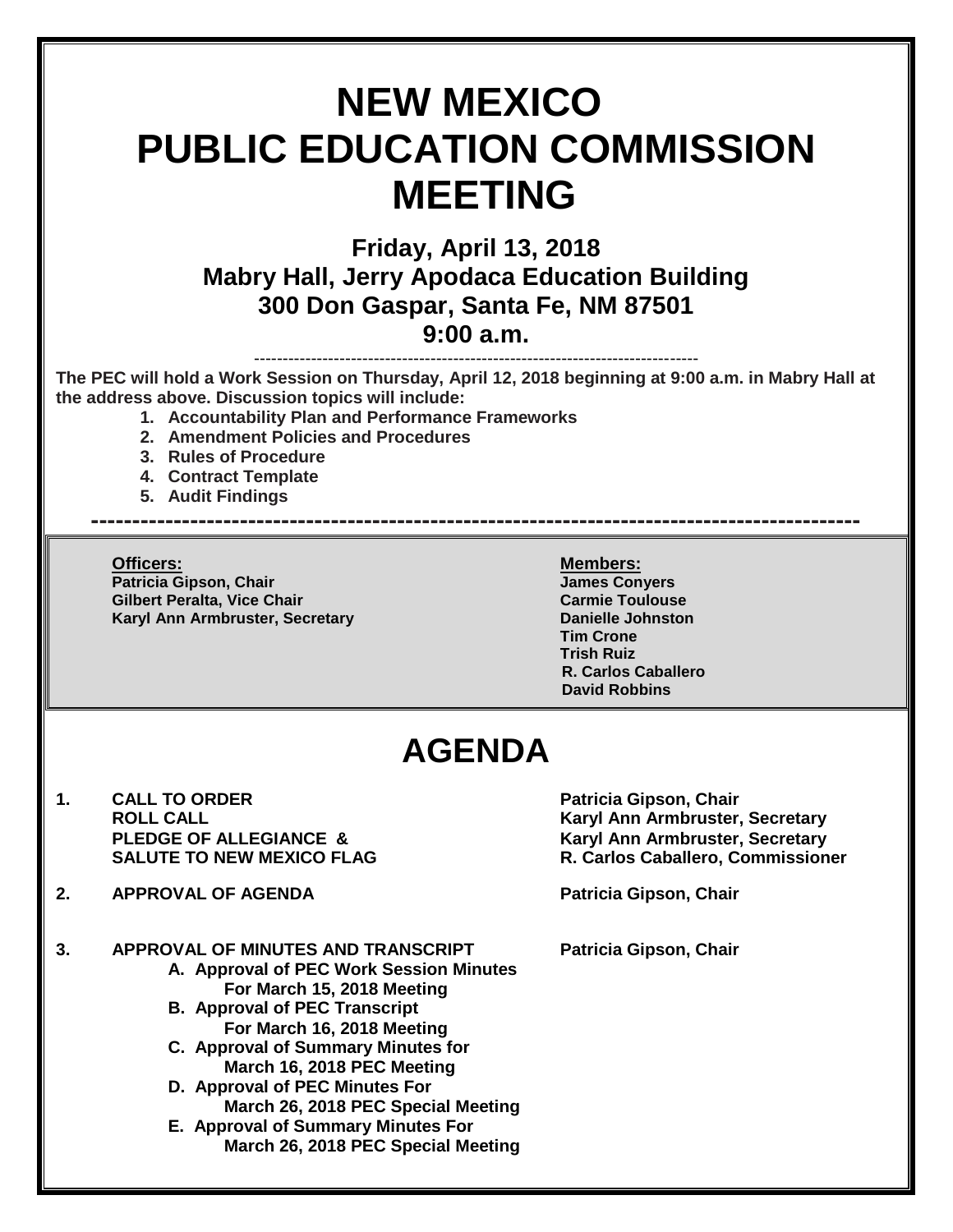# **NEW MEXICO PUBLIC EDUCATION COMMISSION MEETING**

### **Friday, April 13, 2018 Mabry Hall, Jerry Apodaca Education Building 300 Don Gaspar, Santa Fe, NM 87501 9:00 a.m.**

------------------------------------------------------------------------------

**The PEC will hold a Work Session on Thursday, April 12, 2018 beginning at 9:00 a.m. in Mabry Hall at the address above. Discussion topics will include:** 

**---------------------------------------------------------------------------------------------**

- **1. Accountability Plan and Performance Frameworks**
- **2. Amendment Policies and Procedures**
- **3. Rules of Procedure**
- **4. Contract Template**
- **5. Audit Findings**

**Officers: Members: Patricia Gipson, Chair Gilbert Peralta, Vice Chair Carmie Toulouse Karyl Ann Armbruster, Secretary <b>Danielle Johnston** 

**Tim Crone Trish Ruiz R. Carlos Caballero David Robbins**

## **AGENDA**

- 1. **CALL TO ORDER Patricia Gipson, Chair**
- **2. APPROVAL OF AGENDA Patricia Gipson, Chair**

**3. APPROVAL OF MINUTES AND TRANSCRIPT Patricia Gipson, Chair**

- **A. Approval of PEC Work Session Minutes For March 15, 2018 Meeting**
- **B. Approval of PEC Transcript For March 16, 2018 Meeting**
- **C. Approval of Summary Minutes for March 16, 2018 PEC Meeting**
- **D. Approval of PEC Minutes For March 26, 2018 PEC Special Meeting**
- **E. Approval of Summary Minutes For March 26, 2018 PEC Special Meeting**

**ROLL CALL Karyl Ann Armbruster, Secretary**  PLEDGE OF ALLEGIANCE & Karyl Ann Armbruster, Secretary **SALUTE TO NEW MEXICO FLAG R. Carlos Caballero, Commissioner**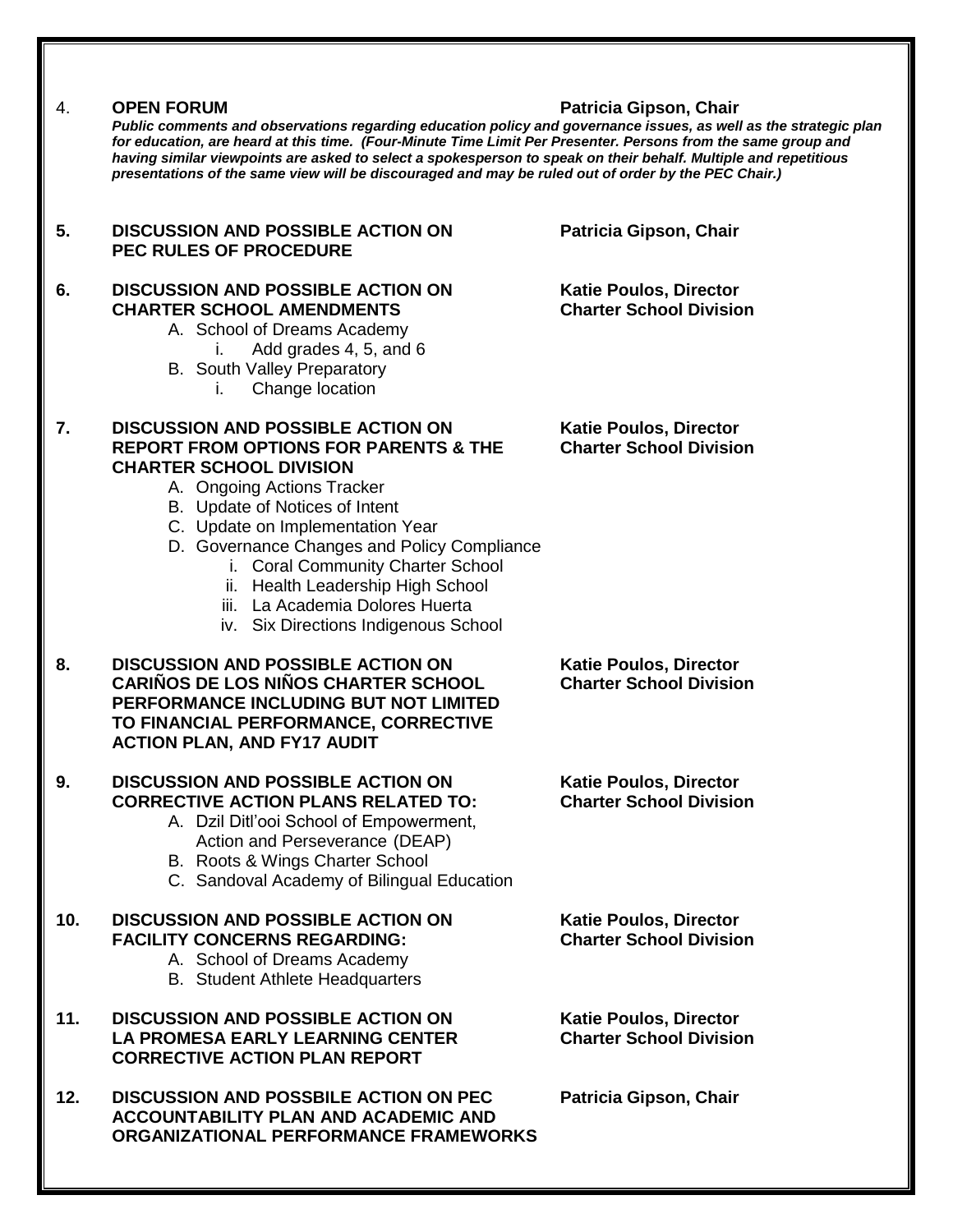#### 4. **OPEN FORUM Patricia Gipson, Chair**

*Public comments and observations regarding education policy and governance issues, as well as the strategic plan for education, are heard at this time. (Four-Minute Time Limit Per Presenter. Persons from the same group and having similar viewpoints are asked to select a spokesperson to speak on their behalf. Multiple and repetitious presentations of the same view will be discouraged and may be ruled out of order by the PEC Chair.)*

#### **5. DISCUSSION AND POSSIBLE ACTION ON Patricia Gipson, Chair PEC RULES OF PROCEDURE**

#### **6. DISCUSSION AND POSSIBLE ACTION ON Katie Poulos, Director CHARTER SCHOOL AMENDMENTS Charter School Division**

- A. School of Dreams Academy
	- i. Add grades 4, 5, and 6
- B. South Valley Preparatory
	- i. Change location

#### **7. DISCUSSION AND POSSIBLE ACTION ON Katie Poulos, Director REPORT FROM OPTIONS FOR PARENTS & THE Charter School Division CHARTER SCHOOL DIVISION**

- A. Ongoing Actions Tracker
- B. Update of Notices of Intent
- C. Update on Implementation Year
- D. Governance Changes and Policy Compliance
	- i. Coral Community Charter School
	- ii. Health Leadership High School
	- iii. La Academia Dolores Huerta
	- iv. Six Directions Indigenous School
- **8. DISCUSSION AND POSSIBLE ACTION ON Katie Poulos, Director CARIÑOS DE LOS NIÑOS CHARTER SCHOOL Charter School Division PERFORMANCE INCLUDING BUT NOT LIMITED TO FINANCIAL PERFORMANCE, CORRECTIVE ACTION PLAN, AND FY17 AUDIT**

#### **9. DISCUSSION AND POSSIBLE ACTION ON Katie Poulos, Director CORRECTIVE ACTION PLANS RELATED TO: Charter School Division**

- A. Dzil Ditl'ooi School of Empowerment, Action and Perseverance (DEAP)
- B. Roots & Wings Charter School
- C. Sandoval Academy of Bilingual Education

#### **10. DISCUSSION AND POSSIBLE ACTION ON Katie Poulos, Director FACILITY CONCERNS REGARDING: Charter School Division** A. School of Dreams Academy

- B. Student Athlete Headquarters
- **11. DISCUSSION AND POSSIBLE ACTION ON Katie Poulos, Director LA PROMESA EARLY LEARNING CENTER Charter School Division CORRECTIVE ACTION PLAN REPORT**
- **12. DISCUSSION AND POSSBILE ACTION ON PEC Patricia Gipson, Chair ACCOUNTABILITY PLAN AND ACADEMIC AND ORGANIZATIONAL PERFORMANCE FRAMEWORKS**